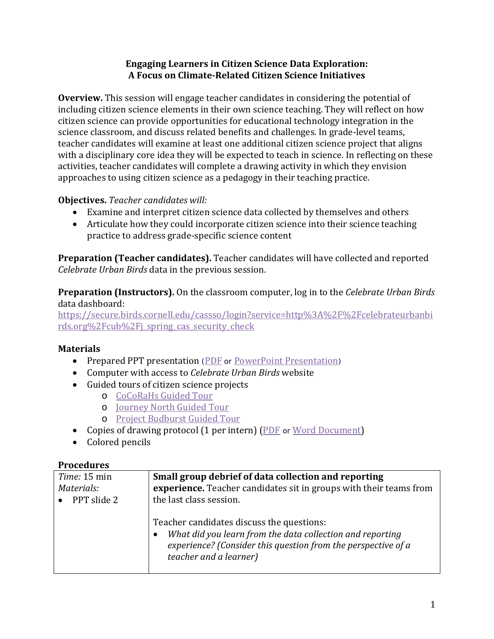## **Engaging Learners in Citizen Science Data Exploration: A Focus on Climate-Related Citizen Science Initiatives**

**Overview.** This session will engage teacher candidates in considering the potential of including citizen science elements in their own science teaching. They will reflect on how citizen science can provide opportunities for educational technology integration in the science classroom, and discuss related benefits and challenges. In grade-level teams, teacher candidates will examine at least one additional citizen science project that aligns with a disciplinary core idea they will be expected to teach in science. In reflecting on these activities, teacher candidates will complete a drawing activity in which they envision approaches to using citizen science as a pedagogy in their teaching practice.

## **Objectives.** *Teacher candidates will:*

- Examine and interpret citizen science data collected by themselves and others
- Articulate how they could incorporate citizen science into their science teaching practice to address grade-specific science content

**Preparation (Teacher candidates).** Teacher candidates will have collected and reported *Celebrate Urban Birds* data in the previous session.

**Preparation (Instructors).** On the classroom computer, log in to the *Celebrate Urban Birds* data dashboard:

[https://secure.birds.cornell.edu/cassso/login?service=http%3A%2F%2Fcelebrateurbanbi](https://secure.birds.cornell.edu/cassso/login?service=http%3A%2F%2Fcelebrateurbanbirds.org%2Fcub%2Fj_spring_cas_security_check) [rds.org%2Fcub%2Fj\\_spring\\_cas\\_security\\_check](https://secure.birds.cornell.edu/cassso/login?service=http%3A%2F%2Fcelebrateurbanbirds.org%2Fcub%2Fj_spring_cas_security_check)

## **Materials**

- Prepared PPT presentation ([PDF](http://www.climateedresearch.org/citizen-science/Session2_PowerPoint_PDF.pdf) or [PowerPoint Presentation](http://www.climateedresearch.org/citizen-science/Session2_PowerPoint.pptx))
- Computer with access to *Celebrate Urban Birds* website
- Guided tours of citizen science projects
	- o [CoCoRaHs Guided Tour](http://www.cocorahs.org/)
	- o [Journey North Guided Tour](https://www.learner.org/jnorth/monarch/)
	- o [Project Budburst Guided Tour](http://budburst.org/home)
- Copies of drawing protocol (1 per intern) [\(PDF](http://www.climateedresearch.org/citizen-science/Drawing_reflection_PDF.pdf) or [Word Document\)](http://www.climateedresearch.org/citizen-science/Drawing_reflection_Word.docx)
- Colored pencils

## **Procedures**

| Time: 15 min | Small group debrief of data collection and reporting                                                                                                                                                                   |
|--------------|------------------------------------------------------------------------------------------------------------------------------------------------------------------------------------------------------------------------|
| Materials:   | experience. Teacher candidates sit in groups with their teams from                                                                                                                                                     |
| PPT slide 2  | the last class session.                                                                                                                                                                                                |
|              | Teacher candidates discuss the questions:<br>What did you learn from the data collection and reporting<br>$\bullet$<br>experience? (Consider this question from the perspective of a<br><i>teacher and a learner</i> ) |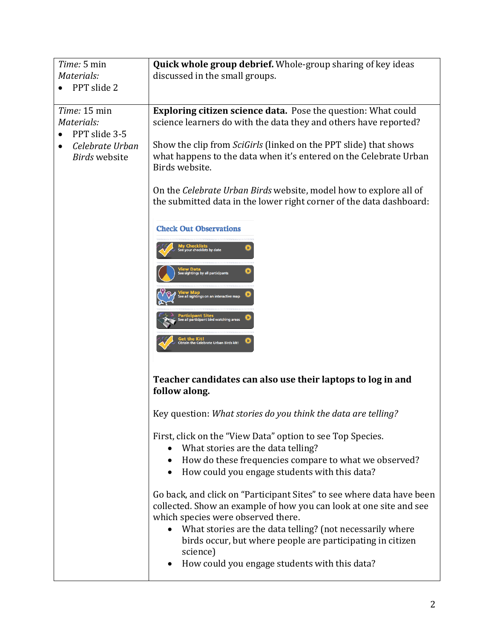| Time: 5 min                                          | <b>Quick whole group debrief.</b> Whole-group sharing of key ideas                                                                                                                |
|------------------------------------------------------|-----------------------------------------------------------------------------------------------------------------------------------------------------------------------------------|
| Materials:                                           | discussed in the small groups.                                                                                                                                                    |
| PPT slide 2                                          |                                                                                                                                                                                   |
| Time: 15 min<br>Materials:<br>PPT slide 3-5          | <b>Exploring citizen science data.</b> Pose the question: What could<br>science learners do with the data they and others have reported?                                          |
| Celebrate Urban<br>$\bullet$<br><b>Birds</b> website | Show the clip from <i>SciGirls</i> (linked on the PPT slide) that shows<br>what happens to the data when it's entered on the Celebrate Urban<br>Birds website.                    |
|                                                      | On the Celebrate Urban Birds website, model how to explore all of<br>the submitted data in the lower right corner of the data dashboard:                                          |
|                                                      | <b>Check Out Observations</b>                                                                                                                                                     |
|                                                      | l <b>y Checklists</b><br>e your checklists by date                                                                                                                                |
|                                                      |                                                                                                                                                                                   |
|                                                      | e all sightings on an interactive map                                                                                                                                             |
|                                                      |                                                                                                                                                                                   |
|                                                      | brate Urban Birds kit!                                                                                                                                                            |
|                                                      | Teacher candidates can also use their laptops to log in and<br>follow along.                                                                                                      |
|                                                      | Key question: What stories do you think the data are telling?                                                                                                                     |
|                                                      | First, click on the "View Data" option to see Top Species.<br>What stories are the data telling?                                                                                  |
|                                                      | How do these frequencies compare to what we observed?<br>$\bullet$<br>How could you engage students with this data?<br>$\bullet$                                                  |
|                                                      | Go back, and click on "Participant Sites" to see where data have been<br>collected. Show an example of how you can look at one site and see<br>which species were observed there. |
|                                                      | What stories are the data telling? (not necessarily where<br>$\bullet$<br>birds occur, but where people are participating in citizen<br>science)                                  |
|                                                      | How could you engage students with this data?                                                                                                                                     |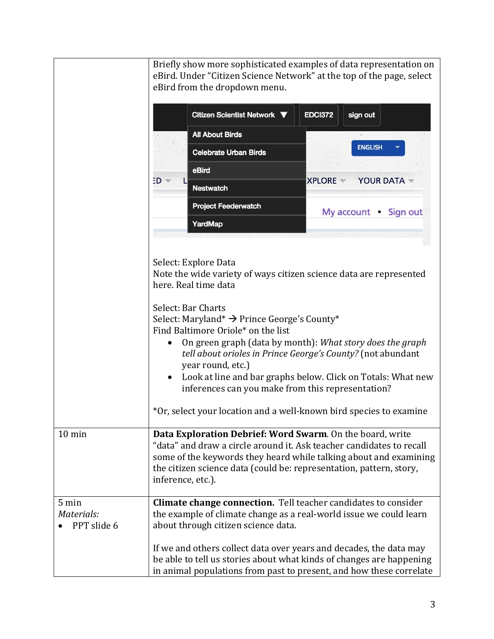|                                    | Briefly show more sophisticated examples of data representation on<br>eBird. Under "Citizen Science Network" at the top of the page, select<br>eBird from the dropdown menu.<br>Citizen Scientist Network ▼<br><b>EDCI372</b><br>sign out<br><b>All About Birds</b><br><b>ENGLISH</b><br><b>Celebrate Urban Birds</b><br>eBird<br><b>XPLORE -</b><br><b>YOUR DATA</b><br>ED v<br><b>Nestwatch</b><br><b>Project Feederwatch</b><br>My account . Sign out<br><b>YardMap</b><br>Select: Explore Data<br>Note the wide variety of ways citizen science data are represented<br>here. Real time data |
|------------------------------------|--------------------------------------------------------------------------------------------------------------------------------------------------------------------------------------------------------------------------------------------------------------------------------------------------------------------------------------------------------------------------------------------------------------------------------------------------------------------------------------------------------------------------------------------------------------------------------------------------|
|                                    | Select: Bar Charts<br>Select: Maryland* $\rightarrow$ Prince George's County*<br>Find Baltimore Oriole* on the list<br>On green graph (data by month): What story does the graph<br>$\bullet$<br>tell about orioles in Prince George's County? (not abundant<br>year round, etc.)                                                                                                                                                                                                                                                                                                                |
|                                    | Look at line and bar graphs below. Click on Totals: What new<br>inferences can you make from this representation?<br>*Or, select your location and a well-known bird species to examine                                                                                                                                                                                                                                                                                                                                                                                                          |
| $10 \text{ min}$                   | Data Exploration Debrief: Word Swarm. On the board, write<br>"data" and draw a circle around it. Ask teacher candidates to recall<br>some of the keywords they heard while talking about and examining<br>the citizen science data (could be: representation, pattern, story,<br>inference, etc.).                                                                                                                                                                                                                                                                                               |
| 5 min<br>Materials:<br>PPT slide 6 | Climate change connection. Tell teacher candidates to consider<br>the example of climate change as a real-world issue we could learn<br>about through citizen science data.                                                                                                                                                                                                                                                                                                                                                                                                                      |
|                                    | If we and others collect data over years and decades, the data may<br>be able to tell us stories about what kinds of changes are happening<br>in animal populations from past to present, and how these correlate                                                                                                                                                                                                                                                                                                                                                                                |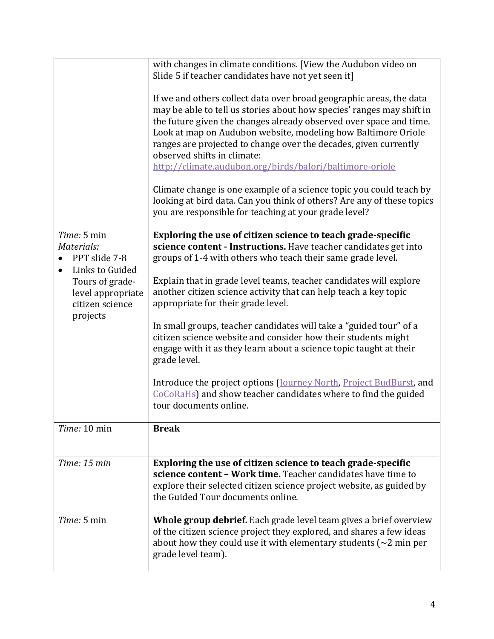|                                  | with changes in climate conditions. [View the Audubon video on<br>Slide 5 if teacher candidates have not yet seen it]                                                                                                                                                                                                                                                                                                                                                                                                                                                                                                                                        |
|----------------------------------|--------------------------------------------------------------------------------------------------------------------------------------------------------------------------------------------------------------------------------------------------------------------------------------------------------------------------------------------------------------------------------------------------------------------------------------------------------------------------------------------------------------------------------------------------------------------------------------------------------------------------------------------------------------|
|                                  | If we and others collect data over broad geographic areas, the data<br>may be able to tell us stories about how species' ranges may shift in<br>the future given the changes already observed over space and time.<br>Look at map on Audubon website, modeling how Baltimore Oriole<br>ranges are projected to change over the decades, given currently<br>observed shifts in climate:<br>http://climate.audubon.org/birds/balori/baltimore-oriole<br>Climate change is one example of a science topic you could teach by<br>looking at bird data. Can you think of others? Are any of these topics<br>you are responsible for teaching at your grade level? |
| Time: 5 min                      | Exploring the use of citizen science to teach grade-specific                                                                                                                                                                                                                                                                                                                                                                                                                                                                                                                                                                                                 |
| Materials:                       | science content - Instructions. Have teacher candidates get into                                                                                                                                                                                                                                                                                                                                                                                                                                                                                                                                                                                             |
| PPT slide 7-8<br>Links to Guided | groups of 1-4 with others who teach their same grade level.                                                                                                                                                                                                                                                                                                                                                                                                                                                                                                                                                                                                  |
| Tours of grade-                  | Explain that in grade level teams, teacher candidates will explore                                                                                                                                                                                                                                                                                                                                                                                                                                                                                                                                                                                           |
| level appropriate                | another citizen science activity that can help teach a key topic                                                                                                                                                                                                                                                                                                                                                                                                                                                                                                                                                                                             |
| citizen science<br>projects      | appropriate for their grade level.                                                                                                                                                                                                                                                                                                                                                                                                                                                                                                                                                                                                                           |
|                                  | In small groups, teacher candidates will take a "guided tour" of a<br>citizen science website and consider how their students might<br>engage with it as they learn about a science topic taught at their<br>grade level.                                                                                                                                                                                                                                                                                                                                                                                                                                    |
|                                  | Introduce the project options (Journey North, Project BudBurst, and<br>CoCoRaHs) and show teacher candidates where to find the guided<br>tour documents online.                                                                                                                                                                                                                                                                                                                                                                                                                                                                                              |
| Time: 10 min                     | <b>Break</b>                                                                                                                                                                                                                                                                                                                                                                                                                                                                                                                                                                                                                                                 |
|                                  |                                                                                                                                                                                                                                                                                                                                                                                                                                                                                                                                                                                                                                                              |
| Time: 15 min                     | Exploring the use of citizen science to teach grade-specific                                                                                                                                                                                                                                                                                                                                                                                                                                                                                                                                                                                                 |
|                                  | science content - Work time. Teacher candidates have time to<br>explore their selected citizen science project website, as guided by<br>the Guided Tour documents online.                                                                                                                                                                                                                                                                                                                                                                                                                                                                                    |
| Time: 5 min                      | Whole group debrief. Each grade level team gives a brief overview                                                                                                                                                                                                                                                                                                                                                                                                                                                                                                                                                                                            |
|                                  | of the citizen science project they explored, and shares a few ideas<br>about how they could use it with elementary students ( $\sim$ 2 min per<br>grade level team).                                                                                                                                                                                                                                                                                                                                                                                                                                                                                        |